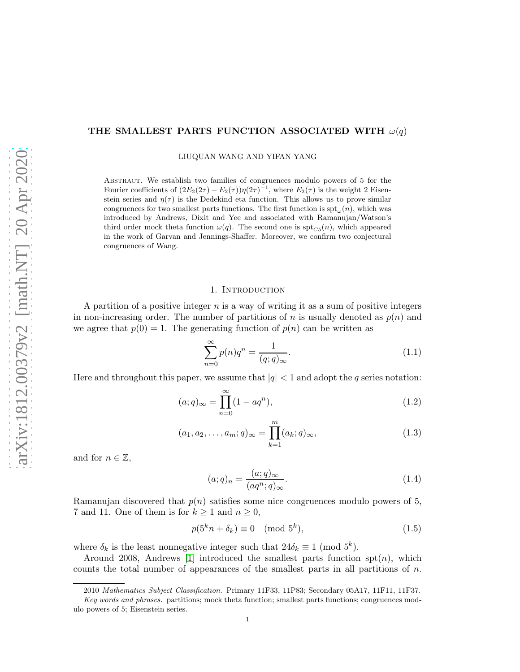# THE SMALLEST PARTS FUNCTION ASSOCIATED WITH  $\omega(q)$

LIUQUAN WANG AND YIFAN YANG

Abstract. We establish two families of congruences modulo powers of 5 for the Fourier coefficients of  $(2E_2(2\tau) - E_2(\tau))\eta(2\tau)^{-1}$ , where  $E_2(\tau)$  is the weight 2 Eisenstein series and  $\eta(\tau)$  is the Dedekind eta function. This allows us to prove similar congruences for two smallest parts functions. The first function is  $\text{spt}_{\omega}(n)$ , which was introduced by Andrews, Dixit and Yee and associated with Ramanujan/Watson's third order mock theta function  $\omega(q)$ . The second one is  $\text{spt}_{C5}(n)$ , which appeared in the work of Garvan and Jennings-Shaffer. Moreover, we confirm two conjectural congruences of Wang.

### 1. INTRODUCTION

A partition of a positive integer  $n$  is a way of writing it as a sum of positive integers in non-increasing order. The number of partitions of n is usually denoted as  $p(n)$  and we agree that  $p(0) = 1$ . The generating function of  $p(n)$  can be written as

<span id="page-0-0"></span>
$$
\sum_{n=0}^{\infty} p(n)q^n = \frac{1}{(q;q)_{\infty}}.\tag{1.1}
$$

Here and throughout this paper, we assume that  $|q| < 1$  and adopt the q series notation:

$$
(a;q)_{\infty} = \prod_{n=0}^{\infty} (1 - aq^n),
$$
\n(1.2)

$$
(a_1, a_2, \dots, a_m; q)_{\infty} = \prod_{k=1}^m (a_k; q)_{\infty},
$$
\n(1.3)

and for  $n \in \mathbb{Z}$ ,

$$
(a;q)_n = \frac{(a;q)_{\infty}}{(aq^n;q)_{\infty}}.\t(1.4)
$$

Ramanujan discovered that  $p(n)$  satisfies some nice congruences modulo powers of 5, 7 and 11. One of them is for  $k \geq 1$  and  $n \geq 0$ ,

$$
p(5^k n + \delta_k) \equiv 0 \pmod{5^k},\tag{1.5}
$$

where  $\delta_k$  is the least nonnegative integer such that  $24\delta_k \equiv 1 \pmod{5^k}$ .

Around 2008, Andrews [\[1\]](#page-15-0) introduced the smallest parts function  $spt(n)$ , which counts the total number of appearances of the smallest parts in all partitions of  $n$ .

<sup>2010</sup> Mathematics Subject Classification. Primary 11F33, 11P83; Secondary 05A17, 11F11, 11F37.

Key words and phrases. partitions; mock theta function; smallest parts functions; congruences modulo powers of 5; Eisenstein series.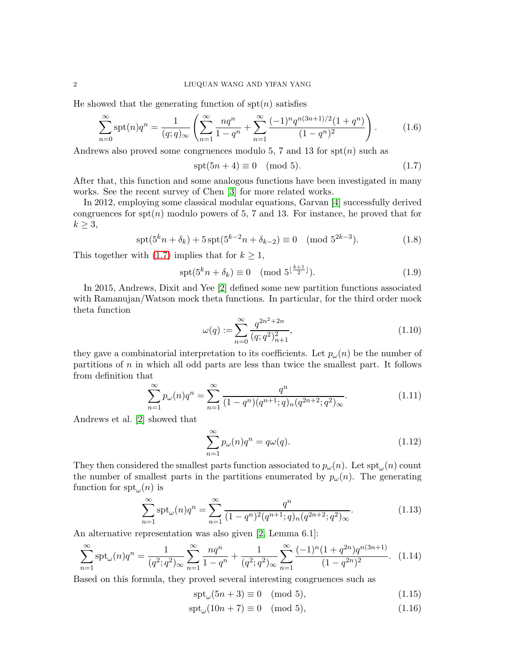He showed that the generating function of  $spt(n)$  satisfies

$$
\sum_{n=0}^{\infty} \operatorname{spt}(n) q^n = \frac{1}{(q;q)_{\infty}} \left( \sum_{n=1}^{\infty} \frac{nq^n}{1-q^n} + \sum_{n=1}^{\infty} \frac{(-1)^n q^{n(3n+1)/2} (1+q^n)}{(1-q^n)^2} \right). \tag{1.6}
$$

Andrews also proved some congruences modulo 5, 7 and 13 for  $\text{spt}(n)$  such as

<span id="page-1-5"></span><span id="page-1-0"></span>
$$
spt(5n + 4) \equiv 0 \pmod{5}.\tag{1.7}
$$

After that, this function and some analogous functions have been investigated in many works. See the recent survey of Chen [\[3\]](#page-15-1) for more related works.

In 2012, employing some classical modular equations, Garvan [\[4\]](#page-15-2) successfully derived congruences for  $spt(n)$  modulo powers of 5, 7 and 13. For instance, he proved that for  $k \geq 3$ ,

$$
\operatorname{spt}(5^k n + \delta_k) + 5 \operatorname{spt}(5^{k-2} n + \delta_{k-2}) \equiv 0 \pmod{5^{2k-3}}.
$$
 (1.8)

This together with [\(1.7\)](#page-1-0) implies that for  $k \geq 1$ ,

$$
\operatorname{spt}(5^k n + \delta_k) \equiv 0 \pmod{5^{\lfloor \frac{k+1}{2} \rfloor}}.
$$
\n(1.9)

In 2015, Andrews, Dixit and Yee [\[2\]](#page-15-3) defined some new partition functions associated with Ramanujan/Watson mock theta functions. In particular, for the third order mock theta function

<span id="page-1-4"></span>
$$
\omega(q) := \sum_{n=0}^{\infty} \frac{q^{2n^2 + 2n}}{(q;q^2)_{n+1}^2},\tag{1.10}
$$

they gave a combinatorial interpretation to its coefficients. Let  $p_\omega(n)$  be the number of partitions of n in which all odd parts are less than twice the smallest part. It follows from definition that

$$
\sum_{n=1}^{\infty} p_{\omega}(n) q^n = \sum_{n=1}^{\infty} \frac{q^n}{(1-q^n)(q^{n+1};q)_n (q^{2n+2};q^2)_{\infty}}.
$$
\n(1.11)

Andrews et al. [\[2\]](#page-15-3) showed that

<span id="page-1-1"></span>
$$
\sum_{n=1}^{\infty} p_{\omega}(n)q^n = q\omega(q).
$$
 (1.12)

They then considered the smallest parts function associated to  $p_{\omega}(n)$ . Let  $\text{spt}_{\omega}(n)$  count the number of smallest parts in the partitions enumerated by  $p_{\omega}(n)$ . The generating function for  $\text{spt}_{\omega}(n)$  is

$$
\sum_{n=1}^{\infty} \operatorname{spt}_{\omega}(n) q^n = \sum_{n=1}^{\infty} \frac{q^n}{(1-q^n)^2 (q^{n+1}; q)_n (q^{2n+2}; q^2)_{\infty}}.
$$
\n(1.13)

An alternative representation was also given [\[2,](#page-15-3) Lemma 6.1]:

$$
\sum_{n=1}^{\infty} \operatorname{spt}_{\omega}(n) q^n = \frac{1}{(q^2;q^2)_{\infty}} \sum_{n=1}^{\infty} \frac{nq^n}{1-q^n} + \frac{1}{(q^2;q^2)_{\infty}} \sum_{n=1}^{\infty} \frac{(-1)^n (1+q^{2n}) q^{n(3n+1)}}{(1-q^{2n})^2}.
$$
 (1.14)

Based on this formula, they proved several interesting congruences such as

<span id="page-1-3"></span><span id="page-1-2"></span> $spt_{\omega}(5n+3) \equiv 0 \pmod{5},$  (1.15)

$$
\operatorname{spt}_{\omega}(10n + 7) \equiv 0 \pmod{5},\tag{1.16}
$$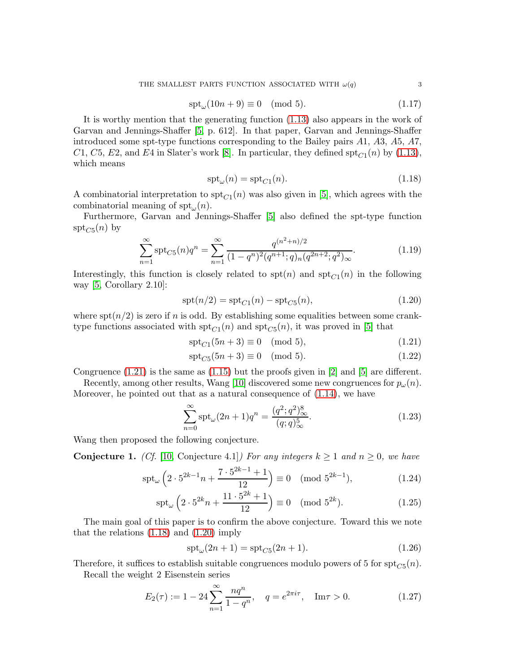$$
\operatorname{spt}_{\omega}(10n+9) \equiv 0 \pmod{5}.\tag{1.17}
$$

It is worthy mention that the generating function [\(1.13\)](#page-1-1) also appears in the work of Garvan and Jennings-Shaffer [\[5,](#page-15-4) p. 612]. In that paper, Garvan and Jennings-Shaffer introduced some spt-type functions corresponding to the Bailey pairs A1, A3, A5, A7, C1, C5, E2, and E4 in Slater's work [\[8\]](#page-15-5). In particular, they defined  $\text{spt}_{C_1}(n)$  by [\(1.13\)](#page-1-1), which means

<span id="page-2-5"></span><span id="page-2-1"></span>
$$
\operatorname{spt}_{\omega}(n) = \operatorname{spt}_{C1}(n). \tag{1.18}
$$

A combinatorial interpretation to  $\text{spt}_{C_1}(n)$  was also given in [\[5\]](#page-15-4), which agrees with the combinatorial meaning of  $\text{spt}_{\omega}(n)$ .

Furthermore, Garvan and Jennings-Shaffer [\[5\]](#page-15-4) also defined the spt-type function  $\operatorname{spt}_{C5}(n)$  by

$$
\sum_{n=1}^{\infty} \operatorname{spt}_{C5}(n) q^n = \sum_{n=1}^{\infty} \frac{q^{(n^2+n)/2}}{(1-q^n)^2 (q^{n+1}; q)_n (q^{2n+2}; q^2)_{\infty}}.
$$
(1.19)

Interestingly, this function is closely related to  $spt(n)$  and  $spt_{C_1}(n)$  in the following way [\[5,](#page-15-4) Corollary 2.10]:

$$
spt(n/2) = spt_{C1}(n) - spt_{C5}(n),
$$
\n(1.20)

where  $\text{spr}(n/2)$  is zero if n is odd. By establishing some equalities between some cranktype functions associated with  $\text{spt}_{C1}(n)$  and  $\text{spt}_{C5}(n)$ , it was proved in [\[5\]](#page-15-4) that

<span id="page-2-2"></span><span id="page-2-0"></span>
$$
\operatorname{spt}_{C1}(5n+3) \equiv 0 \pmod{5},\tag{1.21}
$$

$$
\operatorname{spt}_{C5}(5n+3) \equiv 0 \pmod{5}.\tag{1.22}
$$

Congruence  $(1.21)$  is the same as  $(1.15)$  but the proofs given in [\[2\]](#page-15-3) and [\[5\]](#page-15-4) are different.

Recently, among other results, Wang [\[10\]](#page-16-0) discovered some new congruences for  $p_{\omega}(n)$ . Moreover, he pointed out that as a natural consequence of [\(1.14\)](#page-1-3), we have

$$
\sum_{n=0}^{\infty} \text{spt}_{\omega} (2n+1) q^n = \frac{(q^2; q^2)_{\infty}^8}{(q; q)_{\infty}^5}.
$$
\n(1.23)

Wang then proposed the following conjecture.

<span id="page-2-4"></span>**Conjecture 1.** (Cf. [\[10,](#page-16-0) Conjecture 4.1]) For any integers  $k \ge 1$  and  $n \ge 0$ , we have

$$
\operatorname{spt}_{\omega} \left( 2 \cdot 5^{2k-1} n + \frac{7 \cdot 5^{2k-1} + 1}{12} \right) \equiv 0 \pmod{5^{2k-1}},\tag{1.24}
$$

$$
\operatorname{spt}_{\omega}\left(2\cdot 5^{2k}n + \frac{11\cdot 5^{2k} + 1}{12}\right) \equiv 0 \pmod{5^{2k}}.\tag{1.25}
$$

The main goal of this paper is to confirm the above conjecture. Toward this we note that the relations  $(1.18)$  and  $(1.20)$  imply

<span id="page-2-3"></span>
$$
spt_{\omega}(2n+1) = spt_{C5}(2n+1). \tag{1.26}
$$

Therefore, it suffices to establish suitable congruences modulo powers of 5 for  $\text{spt}_{C5}(n)$ .

Recall the weight 2 Eisenstein series

$$
E_2(\tau) := 1 - 24 \sum_{n=1}^{\infty} \frac{nq^n}{1 - q^n}, \quad q = e^{2\pi i \tau}, \quad \text{Im}\tau > 0.
$$
 (1.27)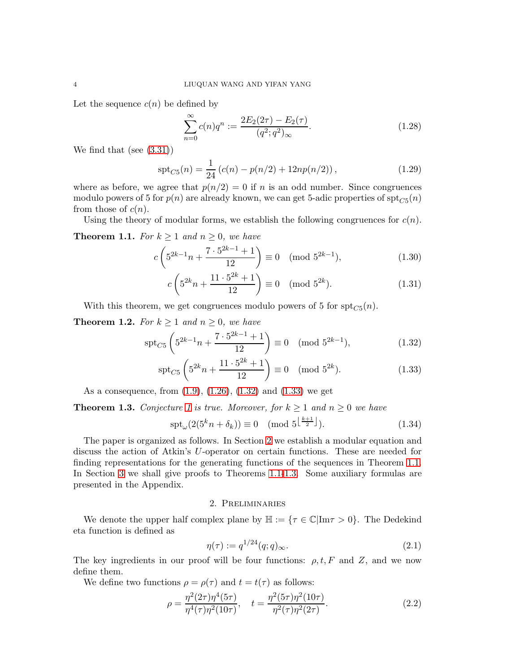Let the sequence  $c(n)$  be defined by

$$
\sum_{n=0}^{\infty} c(n)q^n := \frac{2E_2(2\tau) - E_2(\tau)}{(q^2;q^2)_{\infty}}.
$$
\n(1.28)

We find that (see [\(3.31\)](#page-13-0))

$$
spt_{C5}(n) = \frac{1}{24} (c(n) - p(n/2) + 12np(n/2)),
$$
\n(1.29)

where as before, we agree that  $p(n/2) = 0$  if n is an odd number. Since congruences modulo powers of 5 for  $p(n)$  are already known, we can get 5-adic properties of  $\operatorname{spt}_{C5}(n)$ from those of  $c(n)$ .

Using the theory of modular forms, we establish the following congruences for  $c(n)$ .

<span id="page-3-3"></span>**Theorem 1.1.** For  $k \geq 1$  and  $n \geq 0$ , we have

$$
c\left(5^{2k-1}n + \frac{7 \cdot 5^{2k-1} + 1}{12}\right) \equiv 0 \pmod{5^{2k-1}},\tag{1.30}
$$

<span id="page-3-6"></span><span id="page-3-5"></span><span id="page-3-0"></span>
$$
c\left(5^{2k}n + \frac{11 \cdot 5^{2k} + 1}{12}\right) \equiv 0 \pmod{5^{2k}}.
$$
 (1.31)

With this theorem, we get congruences modulo powers of 5 for  $\text{spt}_{C5}(n)$ .

<span id="page-3-7"></span>**Theorem 1.2.** For  $k \ge 1$  and  $n \ge 0$ , we have

$$
\operatorname{spt}_{C5} \left( 5^{2k-1}n + \frac{7 \cdot 5^{2k-1} + 1}{12} \right) \equiv 0 \pmod{5^{2k-1}},\tag{1.32}
$$

$$
\operatorname{spt}_{C5} \left( 5^{2k} n + \frac{11 \cdot 5^{2k} + 1}{12} \right) \equiv 0 \pmod{5^{2k}}.
$$
 (1.33)

As a consequence, from [\(1.9\)](#page-1-4), [\(1.26\)](#page-2-3), [\(1.32\)](#page-3-0) and [\(1.33\)](#page-3-1) we get

<span id="page-3-4"></span>**Theorem [1](#page-2-4).3.** Conjecture 1 is true. Moreover, for  $k \ge 1$  and  $n \ge 0$  we have

$$
\operatorname{spt}_{\omega}(2(5^k n + \delta_k)) \equiv 0 \pmod{5^{\left\lfloor \frac{k+1}{2} \right\rfloor}}.
$$
\n(1.34)

The paper is organized as follows. In Section [2](#page-3-2) we establish a modular equation and discuss the action of Atkin's U-operator on certain functions. These are needed for finding representations for the generating functions of the sequences in Theorem [1.1.](#page-3-3) In Section [3](#page-8-0) we shall give proofs to Theorems [1.1](#page-3-3)[-1.3.](#page-3-4) Some auxiliary formulas are presented in the Appendix.

#### <span id="page-3-8"></span><span id="page-3-1"></span>2. Preliminaries

<span id="page-3-2"></span>We denote the upper half complex plane by  $\mathbb{H} := {\tau \in \mathbb{C} | \text{Im} \tau > 0}.$  The Dedekind eta function is defined as

$$
\eta(\tau) := q^{1/24}(q;q)_{\infty}.\tag{2.1}
$$

The key ingredients in our proof will be four functions:  $\rho, t, F$  and Z, and we now define them.

We define two functions  $\rho = \rho(\tau)$  and  $t = t(\tau)$  as follows:

$$
\rho = \frac{\eta^2 (2\tau) \eta^4 (5\tau)}{\eta^4 (\tau) \eta^2 (10\tau)}, \quad t = \frac{\eta^2 (5\tau) \eta^2 (10\tau)}{\eta^2 (\tau) \eta^2 (2\tau)}.
$$
\n(2.2)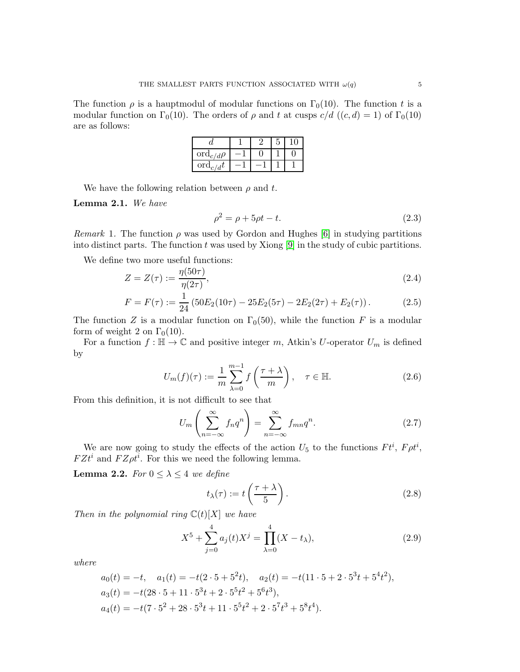The function  $\rho$  is a hauptmodul of modular functions on  $\Gamma_0(10)$ . The function t is a modular function on  $\Gamma_0(10)$ . The orders of  $\rho$  and t at cusps  $c/d$  ((c, d) = 1) of  $\Gamma_0(10)$ are as follows:

| $\operatorname{ord}_{c/d}\rho$ |  |  |
|--------------------------------|--|--|
| $\mathrm{ord}_{c/d}t$          |  |  |

We have the following relation between  $\rho$  and t.

Lemma 2.1. We have

$$
\rho^2 = \rho + 5\rho t - t.\tag{2.3}
$$

*Remark* 1. The function  $\rho$  was used by Gordon and Hughes [\[6\]](#page-15-6) in studying partitions into distinct parts. The function  $t$  was used by Xiong [\[9\]](#page-16-1) in the study of cubic partitions.

We define two more useful functions:

$$
Z = Z(\tau) := \frac{\eta(50\tau)}{\eta(2\tau)},\tag{2.4}
$$

$$
F = F(\tau) := \frac{1}{24} \left( 50E_2(10\tau) - 25E_2(5\tau) - 2E_2(2\tau) + E_2(\tau) \right). \tag{2.5}
$$

The function Z is a modular function on  $\Gamma_0(50)$ , while the function F is a modular form of weight 2 on  $\Gamma_0(10)$ .

For a function  $f : \mathbb{H} \to \mathbb{C}$  and positive integer m, Atkin's U-operator  $U_m$  is defined by

$$
U_m(f)(\tau) := \frac{1}{m} \sum_{\lambda=0}^{m-1} f\left(\frac{\tau + \lambda}{m}\right), \quad \tau \in \mathbb{H}.
$$
 (2.6)

From this definition, it is not difficult to see that

$$
U_m\left(\sum_{n=-\infty}^{\infty} f_n q^n\right) = \sum_{n=-\infty}^{\infty} f_{mn} q^n.
$$
 (2.7)

We are now going to study the effects of the action  $U_5$  to the functions  $F t^i$ ,  $F \rho t^i$ ,  $FZt^i$  and  $FZ\rho t^i$ . For this we need the following lemma.

<span id="page-4-1"></span>**Lemma 2.2.** For  $0 \leq \lambda \leq 4$  we define

<span id="page-4-0"></span>
$$
t_{\lambda}(\tau) := t\left(\frac{\tau + \lambda}{5}\right). \tag{2.8}
$$

Then in the polynomial ring  $\mathbb{C}(t)[X]$  we have

$$
X^{5} + \sum_{j=0}^{4} a_{j}(t)X^{j} = \prod_{\lambda=0}^{4} (X - t_{\lambda}),
$$
\n(2.9)

where

$$
a_0(t) = -t, \quad a_1(t) = -t(2 \cdot 5 + 5^2 t), \quad a_2(t) = -t(11 \cdot 5 + 2 \cdot 5^3 t + 5^4 t^2),
$$
  
\n
$$
a_3(t) = -t(28 \cdot 5 + 11 \cdot 5^3 t + 2 \cdot 5^5 t^2 + 5^6 t^3),
$$
  
\n
$$
a_4(t) = -t(7 \cdot 5^2 + 28 \cdot 5^3 t + 11 \cdot 5^5 t^2 + 2 \cdot 5^7 t^3 + 5^8 t^4).
$$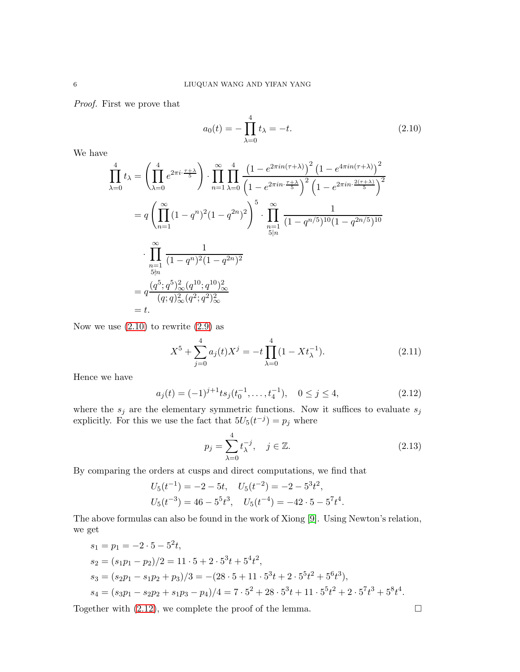Proof. First we prove that

<span id="page-5-0"></span> $a_0(t) = -\prod$ 4  $\lambda=0$  $t_{\lambda} = -t.$  (2.10)

We have

$$
\prod_{\lambda=0}^{4} t_{\lambda} = \left( \prod_{\lambda=0}^{4} e^{2\pi i \cdot \frac{\tau + \lambda}{5}} \right) \cdot \prod_{n=1}^{\infty} \prod_{\lambda=0}^{4} \frac{\left( 1 - e^{2\pi i n (\tau + \lambda)} \right)^2 \left( 1 - e^{4\pi i n (\tau + \lambda)} \right)^2}{\left( 1 - e^{2\pi i n \cdot \frac{\tau + \lambda}{5}} \right)^2 \left( 1 - e^{2\pi i n \cdot \frac{2(\tau + \lambda)}{5}} \right)^2}
$$
\n
$$
= q \left( \prod_{n=1}^{\infty} (1 - q^n)^2 (1 - q^{2n})^2 \right)^5 \cdot \prod_{\substack{n=1 \ \dots \ n \ge 1}}^{\infty} \frac{1}{(1 - q^{n/5})^{10} (1 - q^{2n/5})^{10}}
$$
\n
$$
\cdot \prod_{\substack{n=1 \ \dots \ n \ge 0}}^{\infty} \frac{1}{(1 - q^n)^2 (1 - q^{2n})^2}
$$
\n
$$
= q \frac{(q^5; q^5)^2_{\infty} (q^{10}; q^{10})^2_{\infty}}{(q; q)^2_{\infty} (q^2; q^2)^2_{\infty}}
$$
\n
$$
= t.
$$

Now we use  $(2.10)$  to rewrite  $(2.9)$  as

$$
X^{5} + \sum_{j=0}^{4} a_{j}(t)X^{j} = -t \prod_{\lambda=0}^{4} (1 - Xt_{\lambda}^{-1}).
$$
\n(2.11)

Hence we have

$$
a_j(t) = (-1)^{j+1} t s_j(t_0^{-1}, \dots, t_4^{-1}), \quad 0 \le j \le 4,
$$
\n(2.12)

where the  $s_j$  are the elementary symmetric functions. Now it suffices to evaluate  $s_j$ explicitly. For this we use the fact that  $5U_5(t^{-j}) = p_j$  where

<span id="page-5-1"></span>
$$
p_j = \sum_{\lambda=0}^{4} t_{\lambda}^{-j}, \quad j \in \mathbb{Z}.
$$
 (2.13)

By comparing the orders at cusps and direct computations, we find that

$$
U_5(t^{-1}) = -2 - 5t, \quad U_5(t^{-2}) = -2 - 5^3t^2,
$$
  

$$
U_5(t^{-3}) = 46 - 5^5t^3, \quad U_5(t^{-4}) = -42 \cdot 5 - 5^7t^4.
$$

The above formulas can also be found in the work of Xiong [\[9\]](#page-16-1). Using Newton's relation, we get

$$
s_1 = p_1 = -2 \cdot 5 - 5^2 t,
$$
  
\n
$$
s_2 = (s_1 p_1 - p_2)/2 = 11 \cdot 5 + 2 \cdot 5^3 t + 5^4 t^2,
$$
  
\n
$$
s_3 = (s_2 p_1 - s_1 p_2 + p_3)/3 = -(28 \cdot 5 + 11 \cdot 5^3 t + 2 \cdot 5^5 t^2 + 5^6 t^3),
$$
  
\n
$$
s_4 = (s_3 p_1 - s_2 p_2 + s_1 p_3 - p_4)/4 = 7 \cdot 5^2 + 28 \cdot 5^3 t + 11 \cdot 5^5 t^2 + 2 \cdot 5^7 t^3 + 5^8 t^4.
$$

Together with  $(2.12)$ , we complete the proof of the lemma.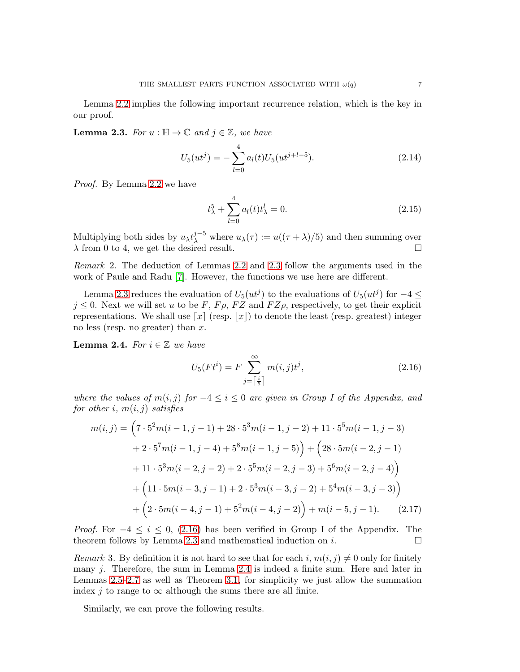Lemma [2.2](#page-4-1) implies the following important recurrence relation, which is the key in our proof.

<span id="page-6-0"></span>**Lemma 2.3.** For  $u : \mathbb{H} \to \mathbb{C}$  and  $j \in \mathbb{Z}$ , we have

$$
U_5(ut^j) = -\sum_{l=0}^{4} a_l(t) U_5(ut^{j+l-5}).
$$
\n(2.14)

Proof. By Lemma [2.2](#page-4-1) we have

$$
t_{\lambda}^{5} + \sum_{l=0}^{4} a_{l}(t)t_{\lambda}^{l} = 0.
$$
 (2.15)

Multiplying both sides by  $u_{\lambda}t_{\lambda}^{j-5}$  where  $u_{\lambda}(\tau) := u((\tau + \lambda)/5)$  and then summing over  $\lambda$  from 0 to 4, we get the desired result.

Remark 2. The deduction of Lemmas [2.2](#page-4-1) and [2.3](#page-6-0) follow the arguments used in the work of Paule and Radu [\[7\]](#page-15-7). However, the functions we use here are different.

Lemma [2.3](#page-6-0) reduces the evaluation of  $U_5(ut^j)$  to the evaluations of  $U_5(ut^j)$  for  $-4 \leq$  $j \leq 0$ . Next we will set u to be F,  $F\rho$ , FZ and  $FZ\rho$ , respectively, to get their explicit representations. We shall use  $[x]$  (resp.  $[x]$ ) to denote the least (resp. greatest) integer no less (resp. no greater) than  $x$ .

<span id="page-6-2"></span>**Lemma 2.4.** For  $i \in \mathbb{Z}$  we have

<span id="page-6-3"></span><span id="page-6-1"></span>
$$
U_5(Ft^i) = F \sum_{j=\lceil \frac{i}{5} \rceil}^{\infty} m(i,j)t^j,
$$
\n(2.16)

where the values of  $m(i, j)$  for  $-4 \le i \le 0$  are given in Group I of the Appendix, and for other i,  $m(i, j)$  satisfies

$$
m(i,j) = \left(7 \cdot 5^2 m(i-1,j-1) + 28 \cdot 5^3 m(i-1,j-2) + 11 \cdot 5^5 m(i-1,j-3) + 2 \cdot 5^7 m(i-1,j-4) + 5^8 m(i-1,j-5)\right) + \left(28 \cdot 5 m(i-2,j-1) + 11 \cdot 5^3 m(i-2,j-2) + 2 \cdot 5^5 m(i-2,j-3) + 5^6 m(i-2,j-4)\right) + \left(11 \cdot 5 m(i-3,j-1) + 2 \cdot 5^3 m(i-3,j-2) + 5^4 m(i-3,j-3)\right) + \left(2 \cdot 5 m(i-4,j-1) + 5^2 m(i-4,j-2)\right) + m(i-5,j-1). \tag{2.17}
$$

*Proof.* For  $-4 \leq i \leq 0$ , [\(2.16\)](#page-6-1) has been verified in Group I of the Appendix. The theorem follows by Lemma [2.3](#page-6-0) and mathematical induction on  $i$ .

Remark 3. By definition it is not hard to see that for each i,  $m(i, j) \neq 0$  only for finitely many j. Therefore, the sum in Lemma [2.4](#page-6-2) is indeed a finite sum. Here and later in Lemmas [2.5](#page-7-0)[–2.7](#page-7-1) as well as Theorem [3.1,](#page-9-0) for simplicity we just allow the summation index j to range to  $\infty$  although the sums there are all finite.

Similarly, we can prove the following results.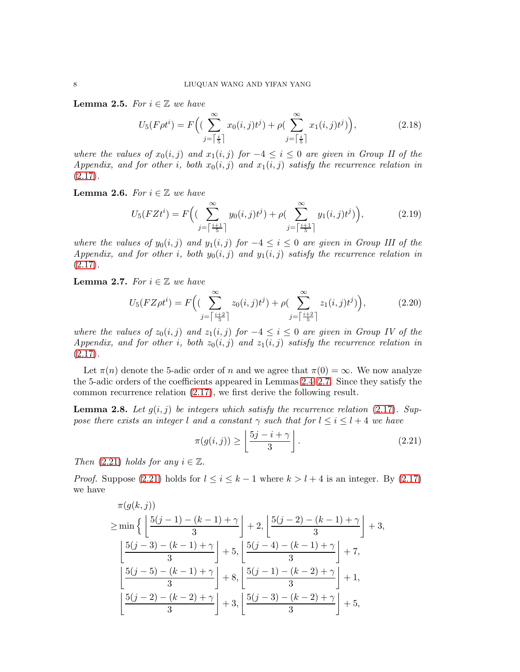<span id="page-7-0"></span>**Lemma 2.5.** For  $i \in \mathbb{Z}$  we have

$$
U_5(F\rho t^i) = F\left((\sum_{j=\lceil \frac{i}{5} \rceil}^{\infty} x_0(i,j)t^j) + \rho(\sum_{j=\lceil \frac{i}{5} \rceil}^{\infty} x_1(i,j)t^j)\right),\tag{2.18}
$$

where the values of  $x_0(i, j)$  and  $x_1(i, j)$  for  $-4 \leq i \leq 0$  are given in Group II of the Appendix, and for other i, both  $x_0(i, j)$  and  $x_1(i, j)$  satisfy the recurrence relation in  $(2.17).$  $(2.17).$ 

<span id="page-7-4"></span>**Lemma 2.6.** For  $i \in \mathbb{Z}$  we have

$$
U_5(FZt^i) = F\Big( \big( \sum_{j=\lceil \frac{i+1}{5} \rceil}^{\infty} y_0(i,j)t^j \big) + \rho \big( \sum_{j=\lceil \frac{i+1}{5} \rceil}^{\infty} y_1(i,j)t^j \big) \Big), \tag{2.19}
$$

where the values of  $y_0(i, j)$  and  $y_1(i, j)$  for  $-4 \leq i \leq 0$  are given in Group III of the Appendix, and for other i, both  $y_0(i, j)$  and  $y_1(i, j)$  satisfy the recurrence relation in  $(2.17).$  $(2.17).$ 

<span id="page-7-1"></span>**Lemma 2.7.** For  $i \in \mathbb{Z}$  we have

$$
U_5(FZ\rho t^i) = F\Big( \left( \sum_{j=\lceil \frac{i+2}{5} \rceil}^{\infty} z_0(i,j)t^j \right) + \rho \left( \sum_{j=\lceil \frac{i+2}{5} \rceil}^{\infty} z_1(i,j)t^j \right) \Big), \tag{2.20}
$$

where the values of  $z_0(i, j)$  and  $z_1(i, j)$  for  $-4 \leq i \leq 0$  are given in Group IV of the Appendix, and for other i, both  $z_0(i, j)$  and  $z_1(i, j)$  satisfy the recurrence relation in  $(2.17).$  $(2.17).$ 

Let  $\pi(n)$  denote the 5-adic order of n and we agree that  $\pi(0) = \infty$ . We now analyze the 5-adic orders of the coefficients appeared in Lemmas [2.4](#page-6-2)[–2.7.](#page-7-1) Since they satisfy the common recurrence relation [\(2.17\)](#page-6-3), we first derive the following result.

<span id="page-7-3"></span>**Lemma 2.8.** Let  $g(i, j)$  be integers which satisfy the recurrence relation [\(2.17\)](#page-6-3). Suppose there exists an integer l and a constant  $\gamma$  such that for  $l \leq i \leq l+4$  we have

<span id="page-7-2"></span>
$$
\pi(g(i,j)) \ge \left\lfloor \frac{5j - i + \gamma}{3} \right\rfloor.
$$
\n(2.21)

Then  $(2.21)$  holds for any  $i \in \mathbb{Z}$ .

*Proof.* Suppose [\(2.21\)](#page-7-2) holds for  $l \le i \le k-1$  where  $k > l+4$  is an integer. By [\(2.17\)](#page-6-3) we have

$$
\pi(g(k,j))
$$
\n
$$
\geq \min\left\{ \left\lfloor \frac{5(j-1) - (k-1) + \gamma}{3} \right\rfloor + 2, \left\lfloor \frac{5(j-2) - (k-1) + \gamma}{3} \right\rfloor + 3, \right\}
$$
\n
$$
\left\lfloor \frac{5(j-3) - (k-1) + \gamma}{3} \right\rfloor + 5, \left\lfloor \frac{5(j-4) - (k-1) + \gamma}{3} \right\rfloor + 7,
$$
\n
$$
\left\lfloor \frac{5(j-5) - (k-1) + \gamma}{3} \right\rfloor + 8, \left\lfloor \frac{5(j-1) - (k-2) + \gamma}{3} \right\rfloor + 1,
$$
\n
$$
\left\lfloor \frac{5(j-2) - (k-2) + \gamma}{3} \right\rfloor + 3, \left\lfloor \frac{5(j-3) - (k-2) + \gamma}{3} \right\rfloor + 5,
$$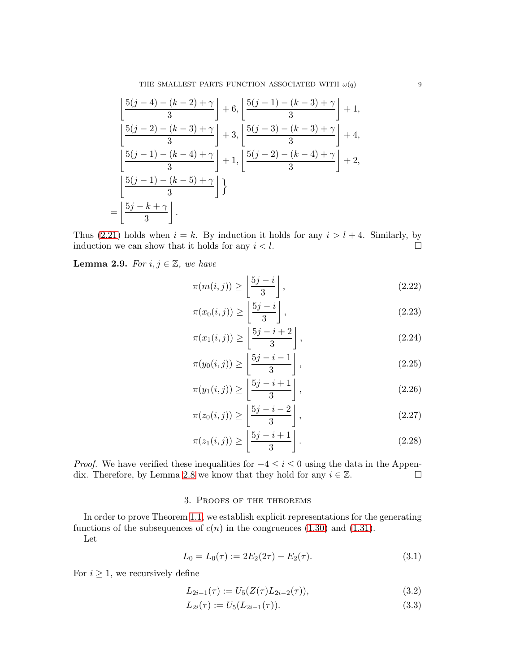THE SMALLEST PARTS FUNCTION ASSOCIATED WITH  $\omega(q)$  9

$$
\left[ \frac{5(j-4) - (k-2) + \gamma}{3} \right] + 6, \left[ \frac{5(j-1) - (k-3) + \gamma}{3} \right] + 1,
$$
  
\n
$$
\left[ \frac{5(j-2) - (k-3) + \gamma}{3} \right] + 3, \left[ \frac{5(j-3) - (k-3) + \gamma}{3} \right] + 4,
$$
  
\n
$$
\left[ \frac{5(j-1) - (k-4) + \gamma}{3} \right] + 1, \left[ \frac{5(j-2) - (k-4) + \gamma}{3} \right] + 2,
$$
  
\n
$$
\left[ \frac{5(j-1) - (k-5) + \gamma}{3} \right]
$$
  
\n
$$
= \left[ \frac{5j - k + \gamma}{3} \right].
$$

Thus [\(2.21\)](#page-7-2) holds when  $i = k$ . By induction it holds for any  $i > l + 4$ . Similarly, by induction we can show that it holds for any  $i < l$ .

<span id="page-8-1"></span>**Lemma 2.9.** For  $i, j \in \mathbb{Z}$ , we have

$$
\pi(m(i,j)) \ge \left\lfloor \frac{5j-i}{3} \right\rfloor,\tag{2.22}
$$

$$
\pi(x_0(i,j)) \ge \left\lfloor \frac{5j-i}{3} \right\rfloor,\tag{2.23}
$$

$$
\pi(x_1(i,j)) \ge \left\lfloor \frac{5j-i+2}{3} \right\rfloor, \tag{2.24}
$$

$$
\pi(y_0(i,j)) \ge \left\lfloor \frac{5j-i-1}{3} \right\rfloor, \tag{2.25}
$$

$$
\pi(y_1(i,j)) \ge \left\lfloor \frac{5j-i+1}{3} \right\rfloor, \tag{2.26}
$$

$$
\pi(z_0(i,j)) \ge \left\lfloor \frac{5j-i-2}{3} \right\rfloor, \tag{2.27}
$$

$$
\pi(z_1(i,j)) \ge \left\lfloor \frac{5j-i+1}{3} \right\rfloor. \tag{2.28}
$$

<span id="page-8-0"></span>*Proof.* We have verified these inequalities for  $-4 \le i \le 0$  using the data in the Appen-dix. Therefore, by Lemma [2.8](#page-7-3) we know that they hold for any  $i \in \mathbb{Z}$ .

# 3. Proofs of the theorems

In order to prove Theorem [1.1,](#page-3-3) we establish explicit representations for the generating functions of the subsequences of  $c(n)$  in the congruences [\(1.30\)](#page-3-5) and [\(1.31\)](#page-3-6).

Let

$$
L_0 = L_0(\tau) := 2E_2(2\tau) - E_2(\tau). \tag{3.1}
$$

For  $i \geq 1$ , we recursively define

$$
L_{2i-1}(\tau) := U_5(Z(\tau)L_{2i-2}(\tau)),\tag{3.2}
$$

$$
L_{2i}(\tau) := U_5(L_{2i-1}(\tau)).\tag{3.3}
$$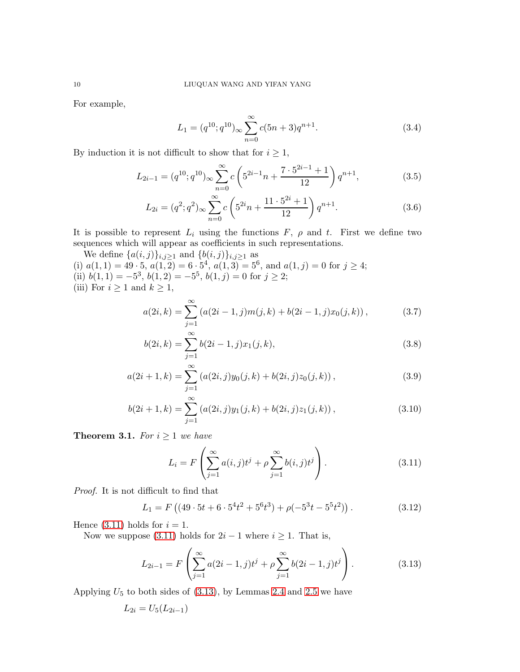For example,

$$
L_1 = (q^{10}; q^{10})_\infty \sum_{n=0}^\infty c(5n+3)q^{n+1}.
$$
 (3.4)

By induction it is not difficult to show that for  $i \geq 1$ ,

$$
L_{2i-1} = (q^{10}; q^{10})_{\infty} \sum_{n=0}^{\infty} c \left( 5^{2i-1}n + \frac{7 \cdot 5^{2i-1} + 1}{12} \right) q^{n+1},
$$
 (3.5)

$$
L_{2i} = (q^2; q^2)_{\infty} \sum_{n=0}^{\infty} c \left( 5^{2i} n + \frac{11 \cdot 5^{2i} + 1}{12} \right) q^{n+1}.
$$
 (3.6)

It is possible to represent  $L_i$  using the functions  $F$ ,  $\rho$  and  $t$ . First we define two sequences which will appear as coefficients in such representations.

We define  $\{a(i, j)\}_{i, j\geq 1}$  and  $\{b(i, j)\}_{i, j\geq 1}$  as (i)  $a(1,1) = 49 \cdot 5, a(1,2) = 6 \cdot 5^4, a(1,3) = 5^6, \text{ and } a(1,j) = 0 \text{ for } j \ge 4;$ (ii)  $b(1, 1) = -5^3$ ,  $b(1, 2) = -5^5$ ,  $b(1, j) = 0$  for  $j \ge 2$ ; (iii) For  $i \geq 1$  and  $k \geq 1$ ,

<span id="page-9-3"></span>
$$
a(2i,k) = \sum_{j=1}^{\infty} (a(2i-1,j)m(j,k) + b(2i-1,j)x_0(j,k)),
$$
 (3.7)

<span id="page-9-4"></span>
$$
b(2i,k) = \sum_{j=1}^{\infty} b(2i-1,j)x_1(j,k),
$$
\n(3.8)

$$
a(2i + 1, k) = \sum_{j=1}^{\infty} (a(2i, j)y_0(j, k) + b(2i, j)z_0(j, k)),
$$
\n(3.9)

$$
b(2i+1,k) = \sum_{j=1}^{\infty} (a(2i,j)y_1(j,k) + b(2i,j)z_1(j,k)),
$$
\n(3.10)

<span id="page-9-0"></span>**Theorem 3.1.** For  $i \geq 1$  we have

<span id="page-9-6"></span><span id="page-9-5"></span><span id="page-9-2"></span><span id="page-9-1"></span>
$$
L_i = F\left(\sum_{j=1}^{\infty} a(i,j)t^j + \rho \sum_{j=1}^{\infty} b(i,j)t^j\right).
$$
 (3.11)

Proof. It is not difficult to find that

$$
L_1 = F\left((49 \cdot 5t + 6 \cdot 5^4 t^2 + 5^6 t^3) + \rho(-5^3 t - 5^5 t^2)\right). \tag{3.12}
$$

Hence [\(3.11\)](#page-9-1) holds for  $i = 1$ .

Now we suppose [\(3.11\)](#page-9-1) holds for  $2i - 1$  where  $i \ge 1$ . That is,

$$
L_{2i-1} = F\left(\sum_{j=1}^{\infty} a(2i-1,j)t^j + \rho \sum_{j=1}^{\infty} b(2i-1,j)t^j\right).
$$
 (3.13)

Applying  $U_5$  to both sides of  $(3.13)$ , by Lemmas [2.4](#page-6-2) and [2.5](#page-7-0) we have

$$
L_{2i} = U_5(L_{2i-1})
$$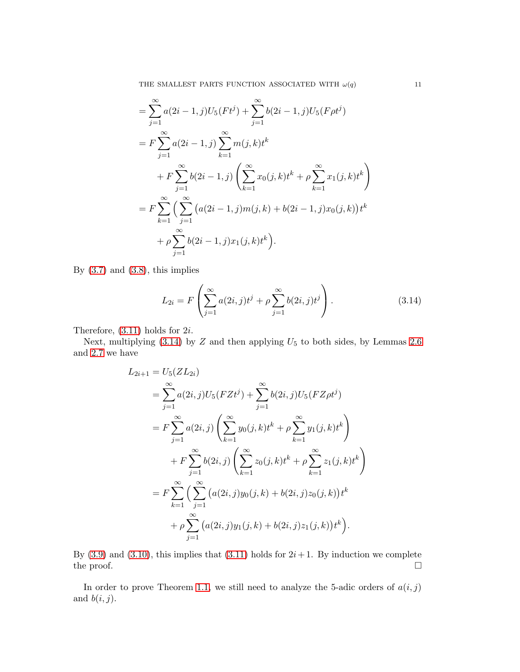THE SMALLEST PARTS FUNCTION ASSOCIATED WITH  $\omega(q)$  11

$$
= \sum_{j=1}^{\infty} a(2i - 1, j)U_5(Ft^j) + \sum_{j=1}^{\infty} b(2i - 1, j)U_5(F\rho t^j)
$$
  
\n
$$
= F \sum_{j=1}^{\infty} a(2i - 1, j) \sum_{k=1}^{\infty} m(j, k)t^k
$$
  
\n
$$
+ F \sum_{j=1}^{\infty} b(2i - 1, j) \left( \sum_{k=1}^{\infty} x_0(j, k)t^k + \rho \sum_{k=1}^{\infty} x_1(j, k)t^k \right)
$$
  
\n
$$
= F \sum_{k=1}^{\infty} \left( \sum_{j=1}^{\infty} \left( a(2i - 1, j)m(j, k) + b(2i - 1, j)x_0(j, k) \right) t^k
$$
  
\n
$$
+ \rho \sum_{j=1}^{\infty} b(2i - 1, j)x_1(j, k)t^k \right).
$$

By  $(3.7)$  and  $(3.8)$ , this implies

<span id="page-10-0"></span>
$$
L_{2i} = F\left(\sum_{j=1}^{\infty} a(2i, j)t^j + \rho \sum_{j=1}^{\infty} b(2i, j)t^j\right).
$$
 (3.14)

Therefore, [\(3.11\)](#page-9-1) holds for 2i.

Next, multiplying  $(3.14)$  by  $Z$  and then applying  $U_5$  to both sides, by Lemmas [2.6](#page-7-4) and [2.7](#page-7-1) we have

$$
L_{2i+1} = U_5(ZL_{2i})
$$
  
\n
$$
= \sum_{j=1}^{\infty} a(2i, j)U_5(FZt^j) + \sum_{j=1}^{\infty} b(2i, j)U_5(FZ\rho t^j)
$$
  
\n
$$
= F \sum_{j=1}^{\infty} a(2i, j) \left( \sum_{k=1}^{\infty} y_0(j, k) t^k + \rho \sum_{k=1}^{\infty} y_1(j, k) t^k \right)
$$
  
\n
$$
+ F \sum_{j=1}^{\infty} b(2i, j) \left( \sum_{k=1}^{\infty} z_0(j, k) t^k + \rho \sum_{k=1}^{\infty} z_1(j, k) t^k \right)
$$
  
\n
$$
= F \sum_{k=1}^{\infty} \left( \sum_{j=1}^{\infty} \left( a(2i, j) y_0(j, k) + b(2i, j) z_0(j, k) \right) t^k
$$
  
\n
$$
+ \rho \sum_{j=1}^{\infty} \left( a(2i, j) y_1(j, k) + b(2i, j) z_1(j, k) \right) t^k
$$

By  $(3.9)$  and  $(3.10)$ , this implies that  $(3.11)$  holds for  $2i+1$ . By induction we complete the proof.  $\Box$ 

In order to prove Theorem [1.1,](#page-3-3) we still need to analyze the 5-adic orders of  $a(i, j)$ and  $b(i, j)$ .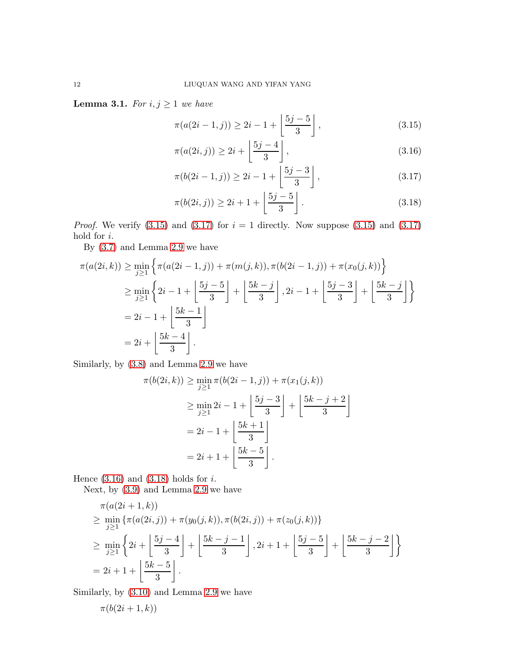<span id="page-11-4"></span>**Lemma 3.1.** For  $i, j \geq 1$  we have

<span id="page-11-0"></span>
$$
\pi(a(2i-1,j)) \ge 2i - 1 + \left\lfloor \frac{5j-5}{3} \right\rfloor, \tag{3.15}
$$

<span id="page-11-2"></span>
$$
\pi(a(2i,j)) \ge 2i + \left\lfloor \frac{5j-4}{3} \right\rfloor, \tag{3.16}
$$

<span id="page-11-1"></span>
$$
\pi(b(2i-1,j)) \ge 2i - 1 + \left\lfloor \frac{5j-3}{3} \right\rfloor, \tag{3.17}
$$

<span id="page-11-3"></span>
$$
\pi(b(2i,j)) \ge 2i + 1 + \left\lfloor \frac{5j - 5}{3} \right\rfloor.
$$
\n
$$
(3.18)
$$

*Proof.* We verify  $(3.15)$  and  $(3.17)$  for  $i = 1$  directly. Now suppose  $(3.15)$  and  $(3.17)$ hold for i.

By [\(3.7\)](#page-9-3) and Lemma [2.9](#page-8-1) we have

$$
\pi(a(2i,k)) \ge \min_{j\ge1} \left\{ \pi(a(2i-1,j)) + \pi(m(j,k)), \pi(b(2i-1,j)) + \pi(x_0(j,k)) \right\}
$$
  
\n
$$
\ge \min_{j\ge1} \left\{ 2i - 1 + \left[ \frac{5j-5}{3} \right] + \left[ \frac{5k-j}{3} \right], 2i - 1 + \left[ \frac{5j-3}{3} \right] + \left[ \frac{5k-j}{3} \right] \right\}
$$
  
\n
$$
= 2i - 1 + \left[ \frac{5k-1}{3} \right]
$$
  
\n
$$
= 2i + \left[ \frac{5k-4}{3} \right].
$$

Similarly, by [\(3.8\)](#page-9-4) and Lemma [2.9](#page-8-1) we have

$$
\pi(b(2i,k)) \ge \min_{j\ge1} \pi(b(2i-1,j)) + \pi(x_1(j,k))
$$
  
\n
$$
\ge \min_{j\ge1} 2i - 1 + \left\lfloor \frac{5j-3}{3} \right\rfloor + \left\lfloor \frac{5k-j+2}{3} \right\rfloor
$$
  
\n
$$
= 2i - 1 + \left\lfloor \frac{5k+1}{3} \right\rfloor
$$
  
\n
$$
= 2i + 1 + \left\lfloor \frac{5k-5}{3} \right\rfloor.
$$

Hence  $(3.16)$  and  $(3.18)$  holds for *i*.

Next, by [\(3.9\)](#page-9-5) and Lemma [2.9](#page-8-1) we have

$$
\pi(a(2i+1,k))
$$
\n
$$
\geq \min_{j\geq 1} \left\{ \pi(a(2i,j)) + \pi(y_0(j,k)), \pi(b(2i,j)) + \pi(z_0(j,k)) \right\}
$$
\n
$$
\geq \min_{j\geq 1} \left\{ 2i + \left[ \frac{5j-4}{3} \right] + \left[ \frac{5k-j-1}{3} \right], 2i+1 + \left[ \frac{5j-5}{3} \right] + \left[ \frac{5k-j-2}{3} \right] \right\}
$$
\n
$$
= 2i+1 + \left[ \frac{5k-5}{3} \right].
$$

Similarly, by [\(3.10\)](#page-9-6) and Lemma [2.9](#page-8-1) we have

$$
\pi(b(2i+1,k))
$$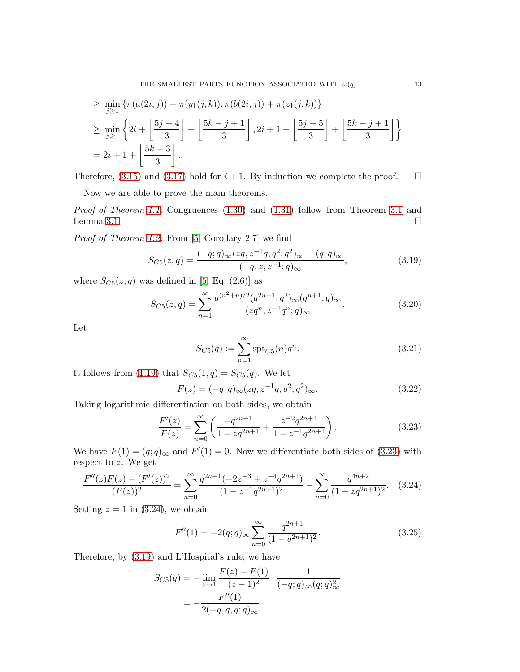$$
\geq \min_{j\geq 1} \left\{ \pi(a(2i,j)) + \pi(y_1(j,k)), \pi(b(2i,j)) + \pi(z_1(j,k)) \right\}
$$
  
\n
$$
\geq \min_{j\geq 1} \left\{ 2i + \left\lfloor \frac{5j-4}{3} \right\rfloor + \left\lfloor \frac{5k-j+1}{3} \right\rfloor, 2i+1 + \left\lfloor \frac{5j-5}{3} \right\rfloor + \left\lfloor \frac{5k-j+1}{3} \right\rfloor \right\}
$$
  
\n
$$
= 2i+1 + \left\lfloor \frac{5k-3}{3} \right\rfloor.
$$

Therefore, [\(3.15\)](#page-11-0) and [\(3.17\)](#page-11-1) hold for  $i + 1$ . By induction we complete the proof.  $\square$ 

Now we are able to prove the main theorems.

Proof of Theorem [1.1.](#page-3-3) Congruences [\(1.30\)](#page-3-5) and [\(1.31\)](#page-3-6) follow from Theorem [3.1](#page-9-0) and Lemma [3.1.](#page-11-4)

Proof of Theorem [1.2.](#page-3-7) From [\[5,](#page-15-4) Corollary 2.7] we find

$$
S_{C5}(z,q) = \frac{(-q;q)_{\infty}(zq,z^{-1}q,q^2;q^2)_{\infty} - (q;q)_{\infty}}{(-q,z,z^{-1};q)_{\infty}},
$$
(3.19)

where  $S_{C5}(z, q)$  was defined in [\[5,](#page-15-4) Eq. (2.6)] as

$$
S_{C5}(z,q) = \sum_{n=1}^{\infty} \frac{q^{(n^2+n)/2} (q^{2n+1}; q^2)_{\infty} (q^{n+1}; q)_{\infty}}{(zq^n, z^{-1}q^n; q)_{\infty}}.
$$
 (3.20)

Let

<span id="page-12-2"></span><span id="page-12-0"></span>
$$
S_{C5}(q) := \sum_{n=1}^{\infty} \text{spt}_{C5}(n) q^n.
$$
 (3.21)

It follows from [\(1.19\)](#page-2-5) that  $S_{C5}(1,q) = S_{C5}(q)$ . We let

$$
F(z) = (-q; q)_{\infty} (zq, z^{-1}q, q^2; q^2)_{\infty}.
$$
\n(3.22)

Taking logarithmic differentiation on both sides, we obtain

$$
\frac{F'(z)}{F(z)} = \sum_{n=0}^{\infty} \left( \frac{-q^{2n+1}}{1 - zq^{2n+1}} + \frac{z^{-2}q^{2n+1}}{1 - z^{-1}q^{2n+1}} \right).
$$
\n(3.23)

We have  $F(1) = (q; q)_{\infty}$  and  $F'(1) = 0$ . Now we differentiate both sides of [\(3.23\)](#page-12-0) with respect to z. We get

$$
\frac{F''(z)F(z) - (F'(z))^2}{(F(z))^2} = \sum_{n=0}^{\infty} \frac{q^{2n+1}(-2z^{-3} + z^{-4}q^{2n+1})}{(1 - z^{-1}q^{2n+1})^2} - \sum_{n=0}^{\infty} \frac{q^{4n+2}}{(1 - zq^{2n+1})^2}.
$$
 (3.24)

Setting  $z = 1$  in [\(3.24\)](#page-12-1), we obtain

<span id="page-12-1"></span>
$$
F''(1) = -2(q;q)_{\infty} \sum_{n=0}^{\infty} \frac{q^{2n+1}}{(1-q^{2n+1})^2}.
$$
\n(3.25)

Therefore, by [\(3.19\)](#page-12-2) and L'Hospital's rule, we have

$$
S_{C5}(q) = -\lim_{z \to 1} \frac{F(z) - F(1)}{(z - 1)^2} \cdot \frac{1}{(-q;q)_{\infty}(q;q)_{\infty}^2}
$$

$$
= -\frac{F''(1)}{2(-q,q,q;q)_{\infty}}
$$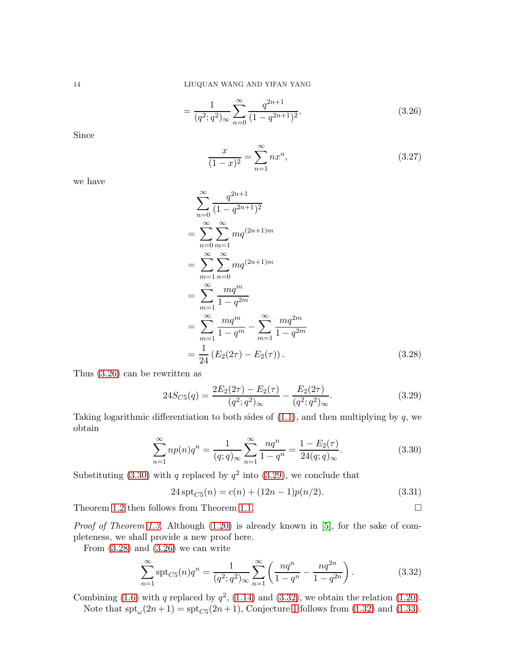$$
=\frac{1}{(q^2;q^2)_{\infty}}\sum_{n=0}^{\infty}\frac{q^{2n+1}}{(1-q^{2n+1})^2}.
$$
\n(3.26)

Since

<span id="page-13-1"></span>
$$
\frac{x}{(1-x)^2} = \sum_{n=1}^{\infty} nx^n,
$$
\n(3.27)

we have

$$
\sum_{n=0}^{\infty} \frac{q^{2n+1}}{(1-q^{2n+1})^2}
$$
\n
$$
= \sum_{n=0}^{\infty} \sum_{m=1}^{\infty} m q^{(2n+1)m}
$$
\n
$$
= \sum_{m=1}^{\infty} \sum_{n=0}^{\infty} m q^{(2n+1)m}
$$
\n
$$
= \sum_{m=1}^{\infty} \frac{mq^m}{1-q^{2m}}
$$
\n
$$
= \sum_{m=1}^{\infty} \frac{mq^m}{1-q^m} - \sum_{m=1}^{\infty} \frac{mq^{2m}}{1-q^{2m}}
$$
\n
$$
= \frac{1}{24} (E_2(2\tau) - E_2(\tau)). \tag{3.28}
$$

Thus [\(3.26\)](#page-13-1) can be rewritten as

<span id="page-13-4"></span><span id="page-13-3"></span>
$$
24S_{C5}(q) = \frac{2E_2(2\tau) - E_2(\tau)}{(q^2; q^2)_{\infty}} - \frac{E_2(2\tau)}{(q^2; q^2)_{\infty}}.
$$
\n(3.29)

Taking logarithmic differentiation to both sides of  $(1.1)$ , and then multiplying by q, we obtain

$$
\sum_{n=1}^{\infty} n p(n) q^n = \frac{1}{(q;q)_{\infty}} \sum_{n=1}^{\infty} \frac{n q^n}{1 - q^n} = \frac{1 - E_2(\tau)}{24(q;q)_{\infty}}.
$$
 (3.30)

Substituting [\(3.30\)](#page-13-2) with q replaced by  $q^2$  into [\(3.29\)](#page-13-3), we conclude that

<span id="page-13-5"></span><span id="page-13-2"></span><span id="page-13-0"></span>
$$
24 \operatorname{spt}_{C5}(n) = c(n) + (12n - 1)p(n/2). \tag{3.31}
$$

Theorem [1.2](#page-3-7) then follows from Theorem [1.1.](#page-3-3)  $\Box$ 

Proof of Theorem [1.3.](#page-3-4) Although [\(1.20\)](#page-2-2) is already known in [\[5\]](#page-15-4), for the sake of completeness, we shall provide a new proof here.

From  $(3.28)$  and  $(3.26)$  we can write

$$
\sum_{n=1}^{\infty} \operatorname{spt}_{C5}(n) q^n = \frac{1}{(q^2; q^2)_{\infty}} \sum_{n=1}^{\infty} \left( \frac{nq^n}{1-q^n} - \frac{nq^{2n}}{1-q^{2n}} \right).
$$
 (3.32)

Combining [\(1.6\)](#page-1-5) with q replaced by  $q^2$ , [\(1.14\)](#page-1-3) and [\(3.32\)](#page-13-5), we obtain the relation [\(1.20\)](#page-2-2). Note that  $\text{spt}_{\omega}(2n+1) = \text{spt}_{C5}(2n+1)$ , Conjecture [1](#page-2-4) follows from [\(1.32\)](#page-3-0) and [\(1.33\)](#page-3-1).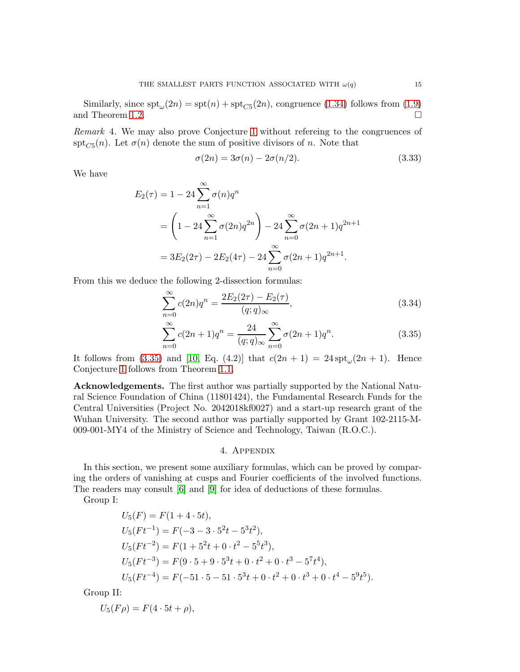Similarly, since  $\text{spt}_{\omega}(2n) = \text{spt}(n) + \text{spt}_{C5}(2n)$ , congruence [\(1.34\)](#page-3-8) follows from [\(1.9\)](#page-1-4) and Theorem [1.2.](#page-3-7)  $\Box$ 

Remark 4. We may also prove Conjecture [1](#page-2-4) without refereing to the congruences of  $\text{spt}_{C5}(n)$ . Let  $\sigma(n)$  denote the sum of positive divisors of n. Note that

$$
\sigma(2n) = 3\sigma(n) - 2\sigma(n/2). \tag{3.33}
$$

We have

$$
E_2(\tau) = 1 - 24 \sum_{n=1}^{\infty} \sigma(n) q^n
$$
  
=  $\left(1 - 24 \sum_{n=1}^{\infty} \sigma(2n) q^{2n}\right) - 24 \sum_{n=0}^{\infty} \sigma(2n+1) q^{2n+1}$   
=  $3E_2(2\tau) - 2E_2(4\tau) - 24 \sum_{n=0}^{\infty} \sigma(2n+1) q^{2n+1}.$ 

From this we deduce the following 2-dissection formulas:

$$
\sum_{n=0}^{\infty} c(2n)q^n = \frac{2E_2(2\tau) - E_2(\tau)}{(q;q)_{\infty}},
$$
\n(3.34)

$$
\sum_{n=0}^{\infty} c(2n+1)q^n = \frac{24}{(q;q)_{\infty}} \sum_{n=0}^{\infty} \sigma(2n+1)q^n.
$$
 (3.35)

It follows from [\(3.35\)](#page-14-0) and [\[10,](#page-16-0) Eq. (4.2)] that  $c(2n + 1) = 24 \text{ spt}_{\omega}(2n + 1)$ . Hence Conjecture [1](#page-2-4) follows from Theorem [1.1.](#page-3-3)

Acknowledgements. The first author was partially supported by the National Natural Science Foundation of China (11801424), the Fundamental Research Funds for the Central Universities (Project No. 2042018kf0027) and a start-up research grant of the Wuhan University. The second author was partially supported by Grant 102-2115-M-009-001-MY4 of the Ministry of Science and Technology, Taiwan (R.O.C.).

## <span id="page-14-0"></span>4. Appendix

In this section, we present some auxiliary formulas, which can be proved by comparing the orders of vanishing at cusps and Fourier coefficients of the involved functions. The readers may consult [\[6\]](#page-15-6) and [\[9\]](#page-16-1) for idea of deductions of these formulas.

Group I:

$$
U_5(F) = F(1 + 4 \cdot 5t),
$$
  
\n
$$
U_5(Ft^{-1}) = F(-3 - 3 \cdot 5^2t - 5^3t^2),
$$
  
\n
$$
U_5(Ft^{-2}) = F(1 + 5^2t + 0 \cdot t^2 - 5^5t^3),
$$
  
\n
$$
U_5(Ft^{-3}) = F(9 \cdot 5 + 9 \cdot 5^3t + 0 \cdot t^2 + 0 \cdot t^3 - 5^7t^4),
$$
  
\n
$$
U_5(Ft^{-4}) = F(-51 \cdot 5 - 51 \cdot 5^3t + 0 \cdot t^2 + 0 \cdot t^3 + 0 \cdot t^4 - 5^9t^5).
$$

Group II:

 $U_5(F\rho) = F(4 \cdot 5t + \rho),$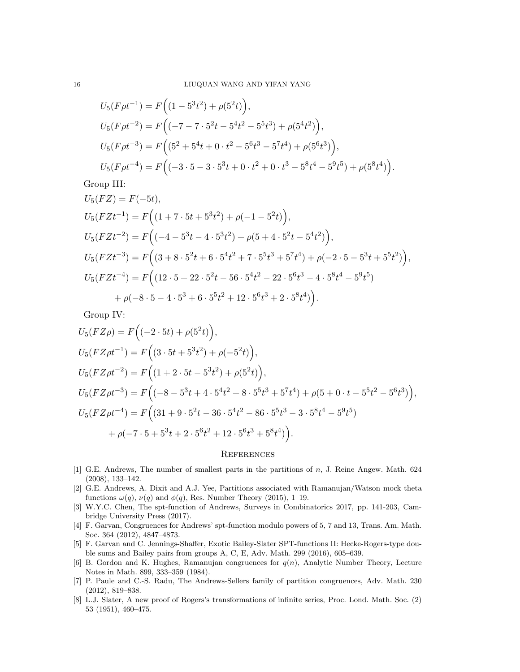$$
U_5(F\rho t^{-1}) = F((1 - 5^3 t^2) + \rho(5^2 t)),
$$
  
\n
$$
U_5(F\rho t^{-2}) = F((-7 - 7 \cdot 5^2 t - 5^4 t^2 - 5^5 t^3) + \rho(5^4 t^2)),
$$
  
\n
$$
U_5(F\rho t^{-3}) = F((5^2 + 5^4 t + 0 \cdot t^2 - 5^6 t^3 - 5^7 t^4) + \rho(5^6 t^3)),
$$
  
\n
$$
U_5(F\rho t^{-4}) = F((-3 \cdot 5 - 3 \cdot 5^3 t + 0 \cdot t^2 + 0 \cdot t^3 - 5^8 t^4 - 5^9 t^5) + \rho(5^8 t^4)).
$$

Group III:

$$
U_5(FZ) = F(-5t),
$$
  
\n
$$
U_5(FZt^{-1}) = F((1 + 7 \cdot 5t + 5^3t^2) + \rho(-1 - 5^2t)),
$$
  
\n
$$
U_5(FZt^{-2}) = F((-4 - 5^3t - 4 \cdot 5^3t^2) + \rho(5 + 4 \cdot 5^2t - 5^4t^2)),
$$
  
\n
$$
U_5(FZt^{-3}) = F((3 + 8 \cdot 5^2t + 6 \cdot 5^4t^2 + 7 \cdot 5^5t^3 + 5^7t^4) + \rho(-2 \cdot 5 - 5^3t + 5^5t^2)),
$$
  
\n
$$
U_5(FZt^{-4}) = F((12 \cdot 5 + 22 \cdot 5^2t - 56 \cdot 5^4t^2 - 22 \cdot 5^6t^3 - 4 \cdot 5^8t^4 - 5^9t^5) + \rho(-8 \cdot 5 - 4 \cdot 5^3 + 6 \cdot 5^5t^2 + 12 \cdot 5^6t^3 + 2 \cdot 5^8t^4)).
$$

Group IV:

$$
U_5(FZ\rho) = F\Big((-2 \cdot 5t) + \rho(5^2t)\Big),
$$
  
\n
$$
U_5(FZ\rho t^{-1}) = F\Big((3 \cdot 5t + 5^3t^2) + \rho(-5^2t)\Big),
$$
  
\n
$$
U_5(FZ\rho t^{-2}) = F\Big((1 + 2 \cdot 5t - 5^3t^2) + \rho(5^2t)\Big),
$$
  
\n
$$
U_5(FZ\rho t^{-3}) = F\Big((-8 - 5^3t + 4 \cdot 5^4t^2 + 8 \cdot 5^5t^3 + 5^7t^4) + \rho(5 + 0 \cdot t - 5^5t^2 - 5^6t^3)\Big),
$$
  
\n
$$
U_5(FZ\rho t^{-4}) = F\Big((31 + 9 \cdot 5^2t - 36 \cdot 5^4t^2 - 86 \cdot 5^5t^3 - 3 \cdot 5^8t^4 - 5^9t^5)\Big),
$$
  
\n
$$
+ \rho(-7 \cdot 5 + 5^3t + 2 \cdot 5^6t^2 + 12 \cdot 5^6t^3 + 5^8t^4)\Big).
$$

### **REFERENCES**

- <span id="page-15-0"></span>[1] G.E. Andrews, The number of smallest parts in the partitions of n, J. Reine Angew. Math. 624 (2008), 133–142.
- <span id="page-15-3"></span>[2] G.E. Andrews, A. Dixit and A.J. Yee, Partitions associated with Ramanujan/Watson mock theta functions  $\omega(q)$ ,  $\nu(q)$  and  $\phi(q)$ , Res. Number Theory (2015), 1–19.
- <span id="page-15-1"></span>[3] W.Y.C. Chen, The spt-function of Andrews, Surveys in Combinatorics 2017, pp. 141-203, Cambridge University Press (2017).
- <span id="page-15-2"></span>[4] F. Garvan, Congruences for Andrews' spt-function modulo powers of 5, 7 and 13, Trans. Am. Math. Soc. 364 (2012), 4847–4873.
- <span id="page-15-4"></span>[5] F. Garvan and C. Jennings-Shaffer, Exotic Bailey-Slater SPT-functions II: Hecke-Rogers-type double sums and Bailey pairs from groups A, C, E, Adv. Math. 299 (2016), 605–639.
- <span id="page-15-6"></span>[6] B. Gordon and K. Hughes, Ramanujan congruences for  $q(n)$ , Analytic Number Theory, Lecture Notes in Math. 899, 333–359 (1984).
- <span id="page-15-7"></span>[7] P. Paule and C.-S. Radu, The Andrews-Sellers family of partition congruences, Adv. Math. 230 (2012), 819–838.
- <span id="page-15-5"></span>[8] L.J. Slater, A new proof of Rogers's transformations of infinite series, Proc. Lond. Math. Soc. (2) 53 (1951), 460–475.